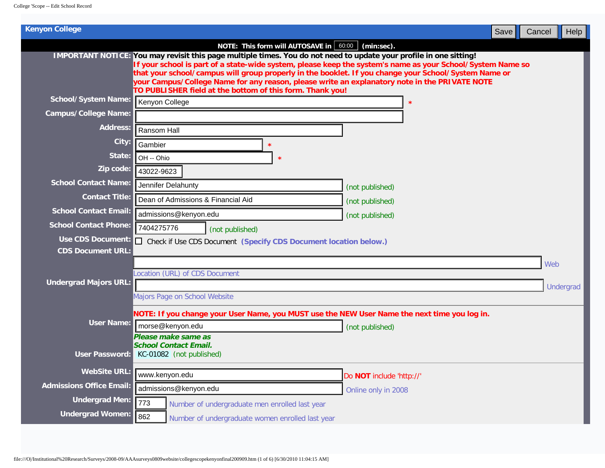| NOTE: This form will AUTOSAVE in $\vert$ 60:00 $\vert$ (min:sec).<br>IMPORTANT NOTICE: You may revisit this page multiple times. You do not need to update your profile in one sitting!<br>that your school/campus will group properly in the booklet. If you change your School/System Name or<br>your Campus/College Name for any reason, please write an explanatory note in the PRIVATE NOTE | If your school is part of a state-wide system, please keep the system's name as your School/System Name so |
|--------------------------------------------------------------------------------------------------------------------------------------------------------------------------------------------------------------------------------------------------------------------------------------------------------------------------------------------------------------------------------------------------|------------------------------------------------------------------------------------------------------------|
|                                                                                                                                                                                                                                                                                                                                                                                                  |                                                                                                            |
|                                                                                                                                                                                                                                                                                                                                                                                                  |                                                                                                            |
| TO PUBLISHER field at the bottom of this form. Thank you!                                                                                                                                                                                                                                                                                                                                        |                                                                                                            |
| <b>School/System Name:</b><br>Kenyon College                                                                                                                                                                                                                                                                                                                                                     |                                                                                                            |
| <b>Campus/College Name:</b>                                                                                                                                                                                                                                                                                                                                                                      |                                                                                                            |
| Address:<br>Ransom Hall                                                                                                                                                                                                                                                                                                                                                                          |                                                                                                            |
| City:<br>Gambier                                                                                                                                                                                                                                                                                                                                                                                 |                                                                                                            |
| State:<br>OH -- Ohio<br>大                                                                                                                                                                                                                                                                                                                                                                        |                                                                                                            |
| Zip code:<br>43022-9623                                                                                                                                                                                                                                                                                                                                                                          |                                                                                                            |
| <b>School Contact Name:</b><br>Jennifer Delahunty                                                                                                                                                                                                                                                                                                                                                | (not published)                                                                                            |
| <b>Contact Title:</b><br>Dean of Admissions & Financial Aid                                                                                                                                                                                                                                                                                                                                      | (not published)                                                                                            |
| <b>School Contact Email:</b><br>admissions@kenyon.edu                                                                                                                                                                                                                                                                                                                                            | (not published)                                                                                            |
| <b>School Contact Phone:</b><br>7404275776<br>(not published)                                                                                                                                                                                                                                                                                                                                    |                                                                                                            |
| <b>Use CDS Document:</b><br>$\Box$ Check if Use CDS Document (Specify CDS Document location below.)                                                                                                                                                                                                                                                                                              |                                                                                                            |
| <b>CDS Document URL:</b>                                                                                                                                                                                                                                                                                                                                                                         |                                                                                                            |
| Location (URL) of CDS Document                                                                                                                                                                                                                                                                                                                                                                   | Web                                                                                                        |
| <b>Undergrad Majors URL:</b>                                                                                                                                                                                                                                                                                                                                                                     | Undergrad                                                                                                  |
| Majors Page on School Website                                                                                                                                                                                                                                                                                                                                                                    |                                                                                                            |
| NOTE: If you change your User Name, you MUST use the NEW User Name the next time you log in.                                                                                                                                                                                                                                                                                                     |                                                                                                            |
| <b>User Name:</b><br>morse@kenyon.edu                                                                                                                                                                                                                                                                                                                                                            | (not published)                                                                                            |
| Please make same as                                                                                                                                                                                                                                                                                                                                                                              |                                                                                                            |
| <b>School Contact Email.</b><br>User Password:<br>KC-01082 (not published)                                                                                                                                                                                                                                                                                                                       |                                                                                                            |
|                                                                                                                                                                                                                                                                                                                                                                                                  |                                                                                                            |
| <b>WebSite URL:</b><br>www.kenyon.edu                                                                                                                                                                                                                                                                                                                                                            | Do NOT include 'http://'                                                                                   |
| <b>Admissions Office Email:</b><br>admissions@kenyon.edu                                                                                                                                                                                                                                                                                                                                         | Online only in 2008                                                                                        |
| <b>Undergrad Men:</b><br>773<br>Number of undergraduate men enrolled last year                                                                                                                                                                                                                                                                                                                   |                                                                                                            |
| <b>Undergrad Women:</b><br>862<br>Number of undergraduate women enrolled last year                                                                                                                                                                                                                                                                                                               |                                                                                                            |
|                                                                                                                                                                                                                                                                                                                                                                                                  |                                                                                                            |
|                                                                                                                                                                                                                                                                                                                                                                                                  |                                                                                                            |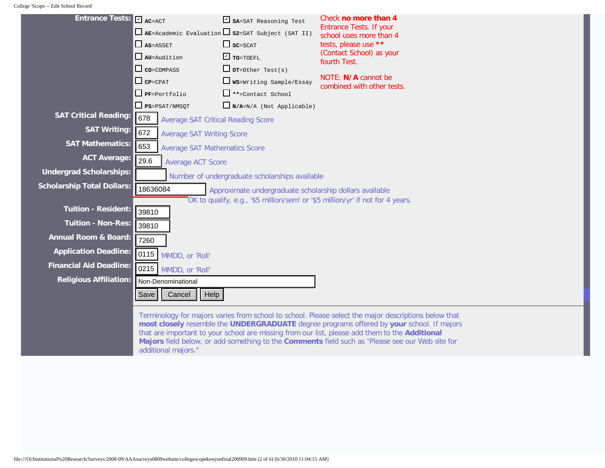College 'Scope -- Edit School Record

| Entrance Tests: V AC=ACT          |                                                                                                                       | $\triangleright$ SA=SAT Reasoning Test<br>$\Box$ AE=Academic Evaluation $\Box$ S2=SAT Subject (SAT II) | Check no more than 4<br><b>Entrance Tests. If your</b><br>school uses more than 4                                                                                                                                                                                                                                                                                                                      |  |
|-----------------------------------|-----------------------------------------------------------------------------------------------------------------------|--------------------------------------------------------------------------------------------------------|--------------------------------------------------------------------------------------------------------------------------------------------------------------------------------------------------------------------------------------------------------------------------------------------------------------------------------------------------------------------------------------------------------|--|
|                                   | $\Box$ AS=ASSET                                                                                                       | $\Box$ $SC = SCAT$                                                                                     | tests, please use **                                                                                                                                                                                                                                                                                                                                                                                   |  |
|                                   | $\Box$ AU=Audition                                                                                                    | $\Gamma$ TO=TOEFL                                                                                      | (Contact School) as your<br>fourth Test.                                                                                                                                                                                                                                                                                                                                                               |  |
|                                   | $\Box$ CO=COMPASS                                                                                                     | $\Box$ or=Other Test(s)                                                                                |                                                                                                                                                                                                                                                                                                                                                                                                        |  |
|                                   | $\Box$ CP=CPAT                                                                                                        | $\Box$ WS=Writing Sample/Essay                                                                         | NOTE: N/A cannot be<br>combined with other tests.                                                                                                                                                                                                                                                                                                                                                      |  |
|                                   | $\Box$ PF=Portfolio                                                                                                   | **=Contact School                                                                                      |                                                                                                                                                                                                                                                                                                                                                                                                        |  |
|                                   | $PS = PSAT/NMSQT$                                                                                                     | $N/A=N/A$ (Not Applicable)                                                                             |                                                                                                                                                                                                                                                                                                                                                                                                        |  |
| <b>SAT Critical Reading:</b>      | 678<br><b>Average SAT Critical Reading Score</b>                                                                      |                                                                                                        |                                                                                                                                                                                                                                                                                                                                                                                                        |  |
| <b>SAT Writing:</b>               | 672<br><b>Average SAT Writing Score</b>                                                                               |                                                                                                        |                                                                                                                                                                                                                                                                                                                                                                                                        |  |
| <b>SAT Mathematics:</b>           | 653                                                                                                                   | <b>Average SAT Mathematics Score</b>                                                                   |                                                                                                                                                                                                                                                                                                                                                                                                        |  |
| <b>ACT Average:</b>               | 29.6<br><b>Average ACT Score</b>                                                                                      |                                                                                                        |                                                                                                                                                                                                                                                                                                                                                                                                        |  |
| <b>Undergrad Scholarships:</b>    |                                                                                                                       |                                                                                                        |                                                                                                                                                                                                                                                                                                                                                                                                        |  |
| <b>Scholarship Total Dollars:</b> | Number of undergraduate scholarships available<br>18636084<br>Approximate undergraduate scholarship dollars available |                                                                                                        |                                                                                                                                                                                                                                                                                                                                                                                                        |  |
|                                   |                                                                                                                       | OK to qualify, e.g., '\$5 million/sem' or '\$5 million/yr' if not for 4 years.                         |                                                                                                                                                                                                                                                                                                                                                                                                        |  |
| <b>Tuition - Resident:</b>        | 39810                                                                                                                 |                                                                                                        |                                                                                                                                                                                                                                                                                                                                                                                                        |  |
| <b>Tuition - Non-Res:</b>         | 39810                                                                                                                 |                                                                                                        |                                                                                                                                                                                                                                                                                                                                                                                                        |  |
| <b>Annual Room &amp; Board:</b>   | 7260                                                                                                                  |                                                                                                        |                                                                                                                                                                                                                                                                                                                                                                                                        |  |
| <b>Application Deadline:</b>      | 0115 <br>MMDD, or 'Roll'                                                                                              |                                                                                                        |                                                                                                                                                                                                                                                                                                                                                                                                        |  |
| <b>Financial Aid Deadline:</b>    |                                                                                                                       |                                                                                                        |                                                                                                                                                                                                                                                                                                                                                                                                        |  |
| <b>Religious Affiliation:</b>     | 0215 MMDD, or 'Roll'<br>Non-Denominational                                                                            |                                                                                                        |                                                                                                                                                                                                                                                                                                                                                                                                        |  |
|                                   |                                                                                                                       |                                                                                                        |                                                                                                                                                                                                                                                                                                                                                                                                        |  |
|                                   | Help<br>Cancel<br>Save                                                                                                |                                                                                                        |                                                                                                                                                                                                                                                                                                                                                                                                        |  |
|                                   | additional majors."                                                                                                   |                                                                                                        | Terminology for majors varies from school to school. Please select the major descriptions below that<br>most closely resemble the UNDERGRADUATE degree programs offered by your school. If majors<br>that are important to your school are missing from our list, please add them to the Additional<br>Majors field below, or add something to the Comments field such as "Please see our Web site for |  |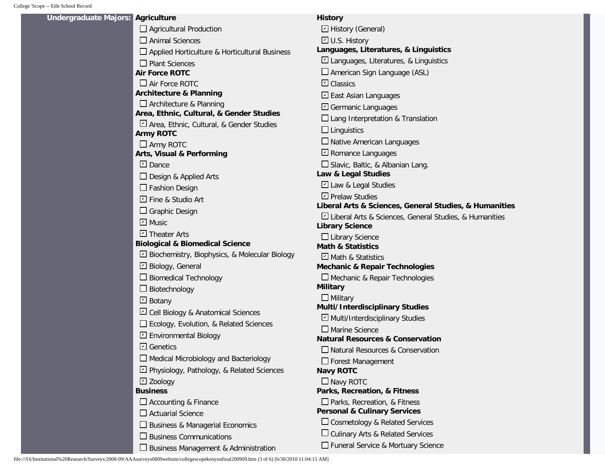| Undergraduate Majors: | <b>Agriculture</b>                                   | <b>History</b>                                           |
|-----------------------|------------------------------------------------------|----------------------------------------------------------|
|                       | $\Box$ Agricultural Production                       | □ History (General)                                      |
|                       | $\Box$ Animal Sciences                               | □ U.S. History                                           |
|                       | $\Box$ Applied Horticulture & Horticultural Business | Languages, Literatures, & Linguistics                    |
|                       | $\Box$ Plant Sciences                                | $\Box$ Languages, Literatures, & Linguistics             |
|                       | <b>Air Force ROTC</b>                                | American Sign Language (ASL)                             |
|                       | $\Box$ Air Force ROTC                                | $\boxdot$ Classics                                       |
|                       | <b>Architecture &amp; Planning</b>                   | □ East Asian Languages                                   |
|                       | $\Box$ Architecture & Planning                       | □ Germanic Languages                                     |
|                       | Area, Ethnic, Cultural, & Gender Studies             | $\Box$ Lang Interpretation & Translation                 |
|                       | Area, Ethnic, Cultural, & Gender Studies             | $\Box$ Linguistics                                       |
|                       | <b>Army ROTC</b>                                     |                                                          |
|                       | $\Box$ Army ROTC                                     | $\Box$ Native American Languages                         |
|                       | <b>Arts, Visual &amp; Performing</b>                 | $\Box$ Romance Languages                                 |
|                       | $\Box$ Dance                                         | □ Slavic, Baltic, & Albanian Lang.                       |
|                       | $\Box$ Design & Applied Arts                         | Law & Legal Studies                                      |
|                       | $\Box$ Fashion Design                                | Z Law & Legal Studies                                    |
|                       | □ Fine & Studio Art                                  | □ Prelaw Studies                                         |
|                       | $\Box$ Graphic Design                                | Liberal Arts & Sciences, General Studies, & Humanities   |
|                       | $\Box$ Music                                         | E Liberal Arts & Sciences, General Studies, & Humanities |
|                       | □ Theater Arts                                       | <b>Library Science</b>                                   |
|                       | <b>Biological &amp; Biomedical Science</b>           | $\Box$ Library Science<br><b>Math &amp; Statistics</b>   |
|                       | Biochemistry, Biophysics, & Molecular Biology        | □ Math & Statistics                                      |
|                       | □ Biology, General                                   | <b>Mechanic &amp; Repair Technologies</b>                |
|                       | $\Box$ Biomedical Technology                         | $\Box$ Mechanic & Repair Technologies                    |
|                       | $\Box$ Biotechnology                                 | <b>Military</b>                                          |
|                       | $\boxdot$ Botany                                     | $\Box$ Military                                          |
|                       |                                                      | Multi/Interdisciplinary Studies                          |
|                       | □ Cell Biology & Anatomical Sciences                 | □ Multi/Interdisciplinary Studies                        |
|                       | Ecology, Evolution, & Related Sciences               | $\square$ Marine Science                                 |
|                       | □ Environmental Biology                              | <b>Natural Resources &amp; Conservation</b>              |
|                       | <b>□</b> Genetics                                    | □ Natural Resources & Conservation                       |
|                       | $\Box$ Medical Microbiology and Bacteriology         | $\Box$ Forest Management                                 |
|                       | D Physiology, Pathology, & Related Sciences          | <b>Navy ROTC</b>                                         |
|                       | $\Box$ Zoology                                       | $\Box$ Navy ROTC                                         |
|                       | <b>Business</b>                                      | Parks, Recreation, & Fitness                             |
|                       | $\Box$ Accounting & Finance                          | $\Box$ Parks, Recreation, & Fitness                      |
|                       | $\Box$ Actuarial Science                             | <b>Personal &amp; Culinary Services</b>                  |
|                       | □ Business & Managerial Economics                    | $\Box$ Cosmetology & Related Services                    |
|                       | $\Box$ Business Communications                       | $\Box$ Culinary Arts & Related Services                  |
|                       | $\square$ Business Management & Administration       | Funeral Service & Mortuary Science                       |
|                       |                                                      |                                                          |

file:///O|/Institutional%20Research/Surveys/2008-09/AAAsurveys0809website/collegescopekenyonfinal200909.htm (3 of 6) [6/30/2010 11:04:15 AM]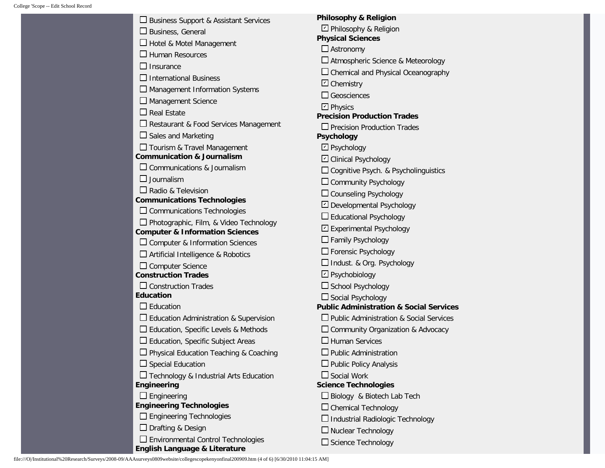| □ Business Support & Assistant Services        | <b>Philosophy &amp; Religion</b>                                               |
|------------------------------------------------|--------------------------------------------------------------------------------|
| $\Box$ Business, General                       | $\boxdot$ Philosophy & Religion                                                |
| Hotel & Motel Management                       | <b>Physical Sciences</b>                                                       |
| <b>Human Resources</b>                         | $\Box$ Astronomy                                                               |
| Insurance                                      | □ Atmospheric Science & Meteorology                                            |
| <b>International Business</b>                  | $\Box$ Chemical and Physical Oceanography                                      |
| Management Information Systems                 | $\boxdot$ Chemistry                                                            |
| Management Science                             | $\Box$ Geosciences                                                             |
| <b>Real Estate</b>                             | $\boxdot$ Physics                                                              |
| Restaurant & Food Services Management          | <b>Precision Production Trades</b>                                             |
| Sales and Marketing                            | $\Box$ Precision Production Trades<br><b>Psychology</b>                        |
| Tourism & Travel Management                    | $\boxdot$ Psychology                                                           |
| <b>Communication &amp; Journalism</b>          | □ Clinical Psychology                                                          |
| Communications & Journalism                    | □ Cognitive Psych. & Psycholinguistics                                         |
| Journalism                                     | Community Psychology                                                           |
| $\Box$ Radio & Television                      | $\Box$ Counseling Psychology                                                   |
| <b>Communications Technologies</b>             | □ Developmental Psychology                                                     |
| $\Box$ Communications Technologies             | $\Box$ Educational Psychology                                                  |
| □ Photographic, Film, & Video Technology       | □ Experimental Psychology                                                      |
| <b>Computer &amp; Information Sciences</b>     | $\Box$ Family Psychology                                                       |
| Computer & Information Sciences                |                                                                                |
| Artificial Intelligence & Robotics             | $\Box$ Forensic Psychology                                                     |
| $\Box$ Computer Science                        | $\Box$ Indust. & Org. Psychology                                               |
| <b>Construction Trades</b>                     | □ Psychobiology                                                                |
| $\Box$ Construction Trades<br><b>Education</b> | $\Box$ School Psychology                                                       |
| $\Box$ Education                               | $\Box$ Social Psychology<br><b>Public Administration &amp; Social Services</b> |
| Education Administration & Supervision         | □ Public Administration & Social Services                                      |
| Education, Specific Levels & Methods           | Community Organization & Advocacy                                              |
| Education, Specific Subject Areas              | $\Box$ Human Services                                                          |
| Physical Education Teaching & Coaching         | <b>Public Administration</b>                                                   |
| <b>Special Education</b>                       | $\Box$ Public Policy Analysis                                                  |
| Technology & Industrial Arts Education         | $\Box$ Social Work                                                             |
| Engineering                                    | <b>Science Technologies</b>                                                    |
| Engineering                                    | □ Biology & Biotech Lab Tech                                                   |
| <b>Engineering Technologies</b>                | $\Box$ Chemical Technology                                                     |
| $\Box$ Engineering Technologies                | $\Box$ Industrial Radiologic Technology                                        |
| Drafting & Design                              | $\Box$ Nuclear Technology                                                      |
| <b>Environmental Control Technologies</b>      | $\Box$ Science Technology                                                      |
| English Language & Literature                  |                                                                                |

file:///O|/Institutional%20Research/Surveys/2008-09/AAAsurveys0809website/collegescopekenyonfinal200909.htm (4 of 6) [6/30/2010 11:04:15 AM]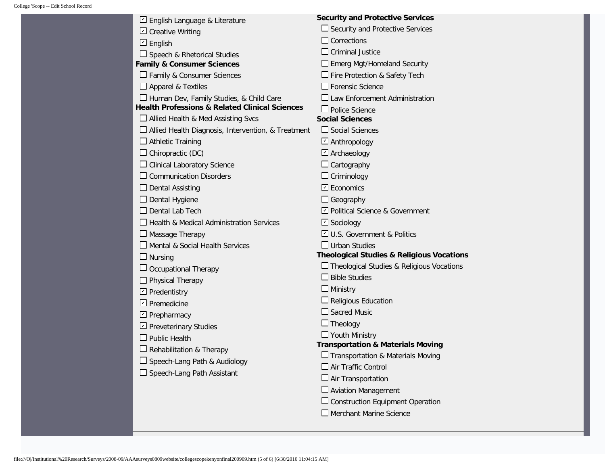| English Language & Literature                             | <b>Security and Protective Services</b>              |
|-----------------------------------------------------------|------------------------------------------------------|
| $\boxdot$ Creative Writing                                | $\Box$ Security and Protective Services              |
| 비 English                                                 | $\Box$ Corrections                                   |
| $\Box$ Speech & Rhetorical Studies                        | $\Box$ Criminal Justice                              |
| <b>Family &amp; Consumer Sciences</b>                     | $\Box$ Emerg Mgt/Homeland Security                   |
| □ Family & Consumer Sciences                              | □ Fire Protection & Safety Tech                      |
| $\Box$ Apparel & Textiles                                 | $\Box$ Forensic Science                              |
| □ Human Dev, Family Studies, & Child Care                 | $\Box$ Law Enforcement Administration                |
| <b>Health Professions &amp; Related Clinical Sciences</b> | $\Box$ Police Science                                |
| Allied Health & Med Assisting Svcs                        | <b>Social Sciences</b>                               |
| □ Allied Health Diagnosis, Intervention, & Treatment      | $\Box$ Social Sciences                               |
| $\Box$ Athletic Training                                  | □ Anthropology                                       |
| $\Box$ Chiropractic (DC)                                  | $\Box$ Archaeology                                   |
| $\Box$ Clinical Laboratory Science                        | $\Box$ Cartography                                   |
| $\Box$ Communication Disorders                            | $\Box$ Criminology                                   |
| $\Box$ Dental Assisting                                   | $\boxdot$ Economics                                  |
| $\Box$ Dental Hygiene                                     | $\Box$ Geography                                     |
| $\Box$ Dental Lab Tech                                    | □ Political Science & Government                     |
| Health & Medical Administration Services                  | □ Sociology                                          |
| $\Box$ Massage Therapy                                    | U.S. Government & Politics                           |
| Mental & Social Health Services                           | $\Box$ Urban Studies                                 |
| $\Box$ Nursing                                            | <b>Theological Studies &amp; Religious Vocations</b> |
| $\Box$ Occupational Therapy                               | □ Theological Studies & Religious Vocations          |
| $\Box$ Physical Therapy                                   | $\Box$ Bible Studies                                 |
| □ Predentistry                                            | $\Box$ Ministry                                      |
| $\Box$ Premedicine                                        | $\Box$ Religious Education                           |
| $\Box$ Prepharmacy                                        | $\Box$ Sacred Music                                  |
| □ Preveterinary Studies                                   | $\Box$ Theology                                      |
| $\Box$ Public Health                                      | □ Youth Ministry                                     |
| $\Box$ Rehabilitation & Therapy                           | <b>Transportation &amp; Materials Moving</b>         |
|                                                           | $\square$ Transportation & Materials Moving          |
| $\Box$ Speech-Lang Path & Audiology                       | $\Box$ Air Traffic Control                           |
| $\Box$ Speech-Lang Path Assistant                         | $\Box$ Air Transportation                            |
|                                                           | $\Box$ Aviation Management                           |
|                                                           | $\square$ Construction Equipment Operation           |
|                                                           | Merchant Marine Science                              |